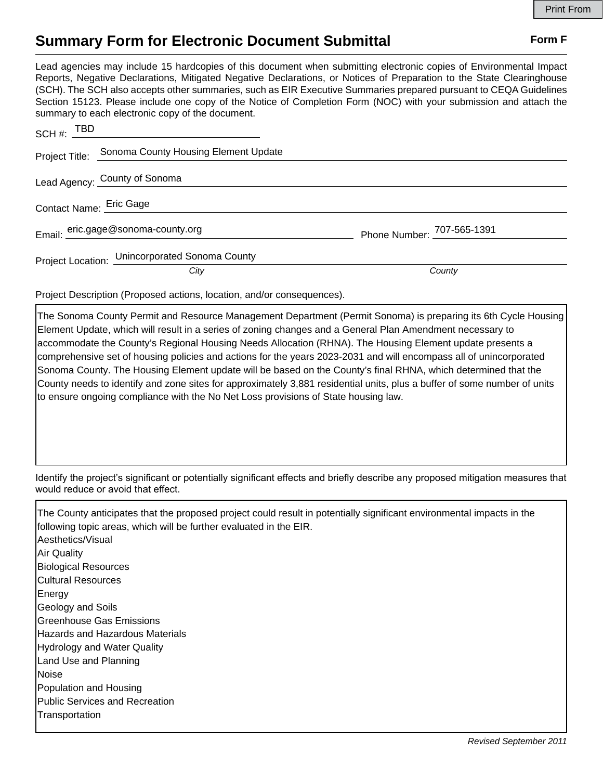## **Summary Form for Electronic Document Submittal Form F Form F**

Lead agencies may include 15 hardcopies of this document when submitting electronic copies of Environmental Impact Reports, Negative Declarations, Mitigated Negative Declarations, or Notices of Preparation to the State Clearinghouse (SCH). The SCH also accepts other summaries, such as EIR Executive Summaries prepared pursuant to CEQA Guidelines Section 15123. Please include one copy of the Notice of Completion Form (NOC) with your submission and attach the summary to each electronic copy of the document.

| $SCH \#: \begin{array}{c} TBD \ \hline \end{array}$ |                            |
|-----------------------------------------------------|----------------------------|
| Project Title: Sonoma County Housing Element Update |                            |
| Lead Agency: County of Sonoma                       |                            |
| Contact Name: Eric Gage                             |                            |
| Email: eric.gage@sonoma-county.org                  | Phone Number: 707-565-1391 |
| Project Location: Unincorporated Sonoma County      |                            |
| City                                                | County                     |

Project Description (Proposed actions, location, and/or consequences).

The Sonoma County Permit and Resource Management Department (Permit Sonoma) is preparing its 6th Cycle Housing Element Update, which will result in a series of zoning changes and a General Plan Amendment necessary to accommodate the County's Regional Housing Needs Allocation (RHNA). The Housing Element update presents a comprehensive set of housing policies and actions for the years 2023-2031 and will encompass all of unincorporated Sonoma County. The Housing Element update will be based on the County's final RHNA, which determined that the County needs to identify and zone sites for approximately 3,881 residential units, plus a buffer of some number of units to ensure ongoing compliance with the No Net Loss provisions of State housing law.

Identify the project's significant or potentially significant effects and briefly describe any proposed mitigation measures that would reduce or avoid that effect.

The County anticipates that the proposed project could result in potentially significant environmental impacts in the following topic areas, which will be further evaluated in the EIR. Aesthetics/Visual Air Quality Biological Resources Cultural Resources Energy Geology and Soils Greenhouse Gas Emissions Hazards and Hazardous Materials Hydrology and Water Quality Land Use and Planning **Noise** Population and Housing Public Services and Recreation **Transportation**